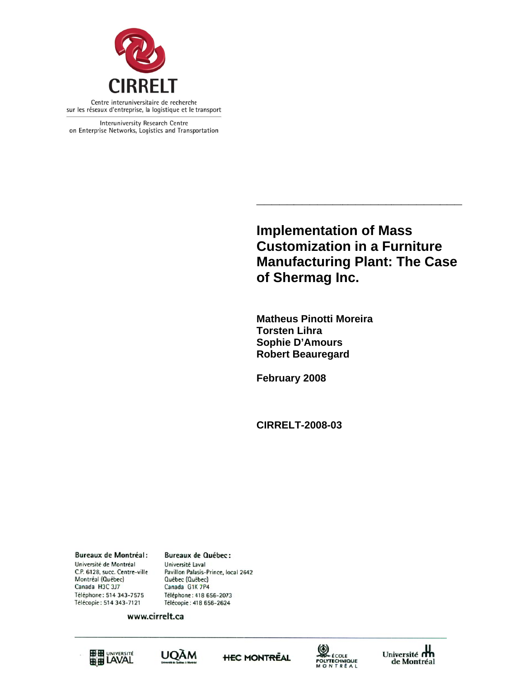

Interuniversity Research Centre on Enterprise Networks, Logistics and Transportation

> **Implementation of Mass Customization in a Furniture Manuf facturin g Plant: The Ca ease of Shermag Inc.**

**\_\_\_\_\_\_\_**

**\_\_\_\_\_\_\_\_**

**\_\_\_**

**Matheus s Pinotti M Moreira Torsten Lihra Sophie D'Amours Robert Beauregard** 

**\_\_\_\_\_\_\_\_**

**Februar ry 2008** 

**\_\_\_\_\_**

**CIRREL LT-2008-03**

**Bureaux de Montréal:** Université de Montréal C.P. 6128, succ. Centre-ville Montréal (Québec) Canada H3C 3J7 Téléphone: 514 343-7575 Télécopie: 514 343-7121

**Bureaux de Québec:** Université Laval Pavillon Palasis-Prince, local 2642 Québec (Québec) Canada G1K 7P4 Téléphone: 418 656-2073 Télécopie: 418 656-2624

www.cirrelt.ca









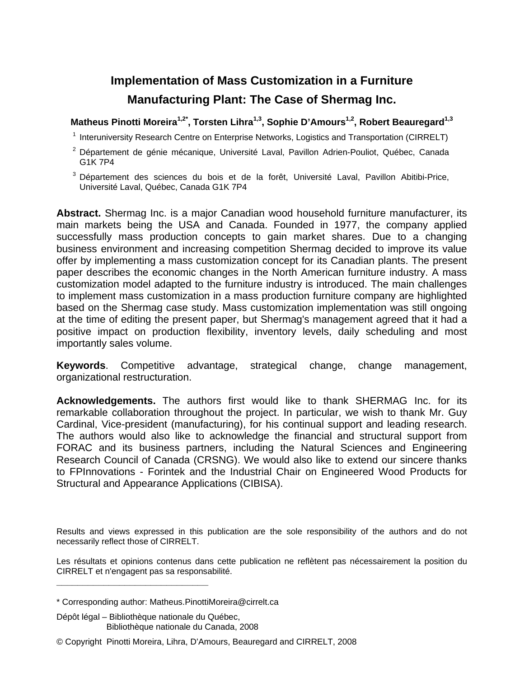# **Implementation of Mass Customization in a Furniture Manufacturing Plant: The Case of Shermag Inc.**

# Matheus Pinotti Moreira<sup>1,2\*</sup>, Torsten Lihra<sup>1,3</sup>, Sophie D'Amours<sup>1,2</sup>, Robert Beauregard<sup>1,3</sup>

1 Interuniversity Research Centre on Enterprise Networks, Logistics and Transportation (CIRRELT)

- 2 Département de génie mécanique, Université Laval, Pavillon Adrien-Pouliot, Québec, Canada G1K 7P4
- <sup>3</sup> Département des sciences du bois et de la forêt, Université Laval, Pavillon Abitibi-Price, Université Laval, Québec, Canada G1K 7P4

**Abstract.** Shermag Inc. is a major Canadian wood household furniture manufacturer, its main markets being the USA and Canada. Founded in 1977, the company applied successfully mass production concepts to gain market shares. Due to a changing business environment and increasing competition Shermag decided to improve its value offer by implementing a mass customization concept for its Canadian plants. The present paper describes the economic changes in the North American furniture industry. A mass customization model adapted to the furniture industry is introduced. The main challenges to implement mass customization in a mass production furniture company are highlighted based on the Shermag case study. Mass customization implementation was still ongoing at the time of editing the present paper, but Shermag's management agreed that it had a positive impact on production flexibility, inventory levels, daily scheduling and most importantly sales volume.

**Keywords**. Competitive advantage, strategical change, change management, organizational restructuration.

**Acknowledgements.** The authors first would like to thank SHERMAG Inc. for its remarkable collaboration throughout the project. In particular, we wish to thank Mr. Guy Cardinal, Vice-president (manufacturing), for his continual support and leading research. The authors would also like to acknowledge the financial and structural support from FORAC and its business partners, including the Natural Sciences and Engineering Research Council of Canada (CRSNG). We would also like to extend our sincere thanks to FPInnovations - Forintek and the Industrial Chair on Engineered Wood Products for Structural and Appearance Applications (CIBISA).

Results and views expressed in this publication are the sole responsibility of the authors and do not necessarily reflect those of CIRRELT.

Les résultats et opinions contenus dans cette publication ne reflètent pas nécessairement la position du CIRRELT et n'engagent pas sa responsabilité.

**\_\_\_\_\_\_\_\_\_\_\_\_\_\_\_\_\_\_\_\_\_\_\_\_\_\_\_\_\_**

<sup>\*</sup> Corresponding author: Matheus.PinottiMoreira@cirrelt.ca

Dépôt légal – Bibliothèque nationale du Québec, Bibliothèque nationale du Canada, 2008

<sup>©</sup> Copyright Pinotti Moreira, Lihra, D'Amours, Beauregard and CIRRELT, 2008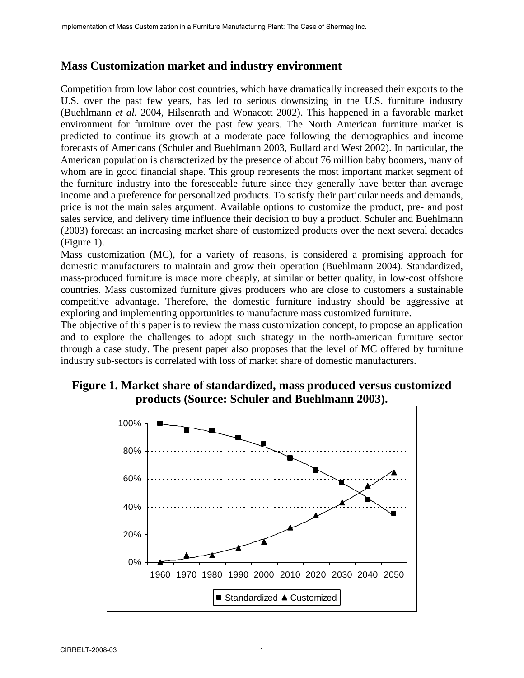### **Mass Customization market and industry environment**

Competition from low labor cost countries, which have dramatically increased their exports to the U.S. over the past few years, has led to serious downsizing in the U.S. furniture industry (Buehlmann *et al.* 2004, Hilsenrath and Wonacott 2002). This happened in a favorable market environment for furniture over the past few years. The North American furniture market is predicted to continue its growth at a moderate pace following the demographics and income forecasts of Americans (Schuler and Buehlmann 2003, Bullard and West 2002). In particular, the American population is characterized by the presence of about 76 million baby boomers, many of whom are in good financial shape. This group represents the most important market segment of the furniture industry into the foreseeable future since they generally have better than average income and a preference for personalized products. To satisfy their particular needs and demands, price is not the main sales argument. Available options to customize the product, pre- and post sales service, and delivery time influence their decision to buy a product. Schuler and Buehlmann (2003) forecast an increasing market share of customized products over the next several decades (Figure 1).

Mass customization (MC), for a variety of reasons, is considered a promising approach for domestic manufacturers to maintain and grow their operation (Buehlmann 2004). Standardized, mass-produced furniture is made more cheaply, at similar or better quality, in low-cost offshore countries. Mass customized furniture gives producers who are close to customers a sustainable competitive advantage. Therefore, the domestic furniture industry should be aggressive at exploring and implementing opportunities to manufacture mass customized furniture.

The objective of this paper is to review the mass customization concept, to propose an application and to explore the challenges to adopt such strategy in the north-american furniture sector through a case study. The present paper also proposes that the level of MC offered by furniture industry sub-sectors is correlated with loss of market share of domestic manufacturers.



# **Figure 1. Market share of standardized, mass produced versus customized products (Source: Schuler and Buehlmann 2003).**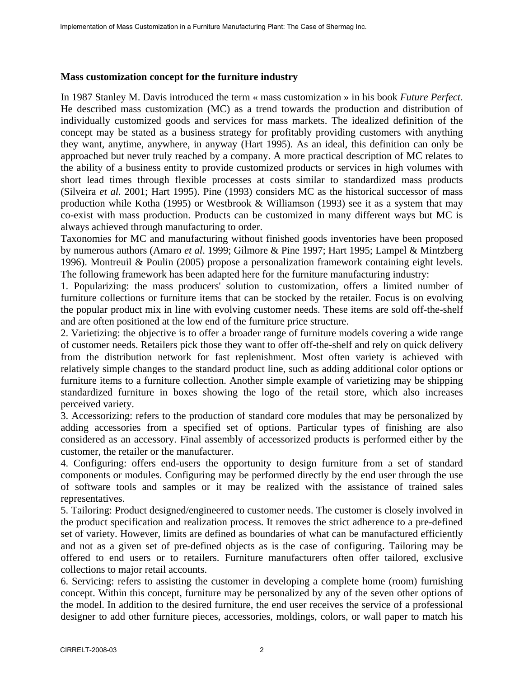#### **Mass customization concept for the furniture industry**

In 1987 Stanley M. Davis introduced the term « mass customization » in his book *Future Perfect*. He described mass customization (MC) as a trend towards the production and distribution of individually customized goods and services for mass markets. The idealized definition of the concept may be stated as a business strategy for profitably providing customers with anything they want, anytime, anywhere, in anyway (Hart 1995). As an ideal, this definition can only be approached but never truly reached by a company. A more practical description of MC relates to the ability of a business entity to provide customized products or services in high volumes with short lead times through flexible processes at costs similar to standardized mass products (Silveira *et al.* 2001; Hart 1995). Pine (1993) considers MC as the historical successor of mass production while Kotha (1995) or Westbrook & Williamson (1993) see it as a system that may co-exist with mass production. Products can be customized in many different ways but MC is always achieved through manufacturing to order.

Taxonomies for MC and manufacturing without finished goods inventories have been proposed by numerous authors (Amaro *et al*. 1999; Gilmore & Pine 1997; Hart 1995; Lampel & Mintzberg 1996). Montreuil & Poulin (2005) propose a personalization framework containing eight levels. The following framework has been adapted here for the furniture manufacturing industry:

1. Popularizing: the mass producers' solution to customization, offers a limited number of furniture collections or furniture items that can be stocked by the retailer. Focus is on evolving the popular product mix in line with evolving customer needs. These items are sold off-the-shelf and are often positioned at the low end of the furniture price structure.

2. Varietizing: the objective is to offer a broader range of furniture models covering a wide range of customer needs. Retailers pick those they want to offer off-the-shelf and rely on quick delivery from the distribution network for fast replenishment. Most often variety is achieved with relatively simple changes to the standard product line, such as adding additional color options or furniture items to a furniture collection. Another simple example of varietizing may be shipping standardized furniture in boxes showing the logo of the retail store, which also increases perceived variety.

3. Accessorizing: refers to the production of standard core modules that may be personalized by adding accessories from a specified set of options. Particular types of finishing are also considered as an accessory. Final assembly of accessorized products is performed either by the customer, the retailer or the manufacturer.

4. Configuring: offers end-users the opportunity to design furniture from a set of standard components or modules. Configuring may be performed directly by the end user through the use of software tools and samples or it may be realized with the assistance of trained sales representatives.

5. Tailoring: Product designed/engineered to customer needs. The customer is closely involved in the product specification and realization process. It removes the strict adherence to a pre-defined set of variety. However, limits are defined as boundaries of what can be manufactured efficiently and not as a given set of pre-defined objects as is the case of configuring. Tailoring may be offered to end users or to retailers. Furniture manufacturers often offer tailored, exclusive collections to major retail accounts.

6. Servicing: refers to assisting the customer in developing a complete home (room) furnishing concept. Within this concept, furniture may be personalized by any of the seven other options of the model. In addition to the desired furniture, the end user receives the service of a professional designer to add other furniture pieces, accessories, moldings, colors, or wall paper to match his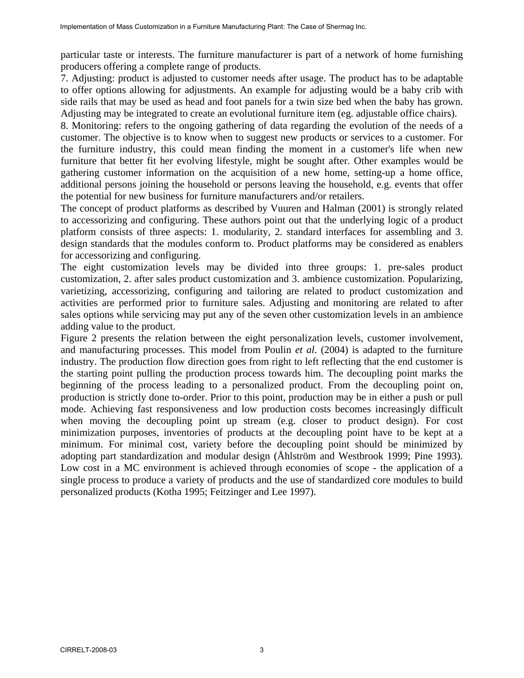particular taste or interests. The furniture manufacturer is part of a network of home furnishing producers offering a complete range of products.

7. Adjusting: product is adjusted to customer needs after usage. The product has to be adaptable to offer options allowing for adjustments. An example for adjusting would be a baby crib with side rails that may be used as head and foot panels for a twin size bed when the baby has grown. Adjusting may be integrated to create an evolutional furniture item (eg. adjustable office chairs).

8. Monitoring: refers to the ongoing gathering of data regarding the evolution of the needs of a customer. The objective is to know when to suggest new products or services to a customer. For the furniture industry, this could mean finding the moment in a customer's life when new furniture that better fit her evolving lifestyle, might be sought after. Other examples would be gathering customer information on the acquisition of a new home, setting-up a home office, additional persons joining the household or persons leaving the household, e.g. events that offer the potential for new business for furniture manufacturers and/or retailers.

The concept of product platforms as described by Vuuren and Halman (2001) is strongly related to accessorizing and configuring. These authors point out that the underlying logic of a product platform consists of three aspects: 1. modularity, 2. standard interfaces for assembling and 3. design standards that the modules conform to. Product platforms may be considered as enablers for accessorizing and configuring.

The eight customization levels may be divided into three groups: 1. pre-sales product customization, 2. after sales product customization and 3. ambience customization. Popularizing, varietizing, accessorizing, configuring and tailoring are related to product customization and activities are performed prior to furniture sales. Adjusting and monitoring are related to after sales options while servicing may put any of the seven other customization levels in an ambience adding value to the product.

Figure 2 presents the relation between the eight personalization levels, customer involvement, and manufacturing processes. This model from Poulin *et al*. (2004) is adapted to the furniture industry. The production flow direction goes from right to left reflecting that the end customer is the starting point pulling the production process towards him. The decoupling point marks the beginning of the process leading to a personalized product. From the decoupling point on, production is strictly done to-order. Prior to this point, production may be in either a push or pull mode. Achieving fast responsiveness and low production costs becomes increasingly difficult when moving the decoupling point up stream (e.g. closer to product design). For cost minimization purposes, inventories of products at the decoupling point have to be kept at a minimum. For minimal cost, variety before the decoupling point should be minimized by adopting part standardization and modular design (Åhlström and Westbrook 1999; Pine 1993). Low cost in a MC environment is achieved through economies of scope - the application of a single process to produce a variety of products and the use of standardized core modules to build personalized products (Kotha 1995; Feitzinger and Lee 1997).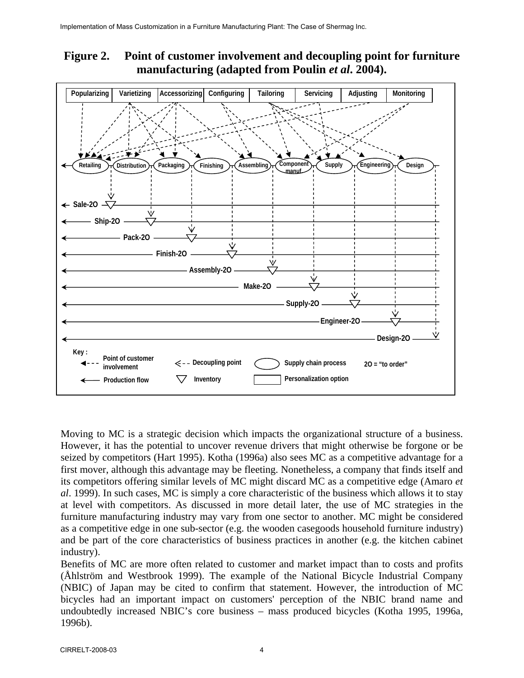**Figure 2. Point of customer involvement and decoupling point for furniture manufacturing (adapted from Poulin** *et al***. 2004).** 



Moving to MC is a strategic decision which impacts the organizational structure of a business. However, it has the potential to uncover revenue drivers that might otherwise be forgone or be seized by competitors (Hart 1995). Kotha (1996a) also sees MC as a competitive advantage for a first mover, although this advantage may be fleeting. Nonetheless, a company that finds itself and its competitors offering similar levels of MC might discard MC as a competitive edge (Amaro *et al*. 1999). In such cases, MC is simply a core characteristic of the business which allows it to stay at level with competitors. As discussed in more detail later, the use of MC strategies in the furniture manufacturing industry may vary from one sector to another. MC might be considered as a competitive edge in one sub-sector (e.g. the wooden casegoods household furniture industry) and be part of the core characteristics of business practices in another (e.g. the kitchen cabinet industry).

Benefits of MC are more often related to customer and market impact than to costs and profits (Åhlström and Westbrook 1999). The example of the National Bicycle Industrial Company (NBIC) of Japan may be cited to confirm that statement. However, the introduction of MC bicycles had an important impact on customers' perception of the NBIC brand name and undoubtedly increased NBIC's core business – mass produced bicycles (Kotha 1995, 1996a, 1996b).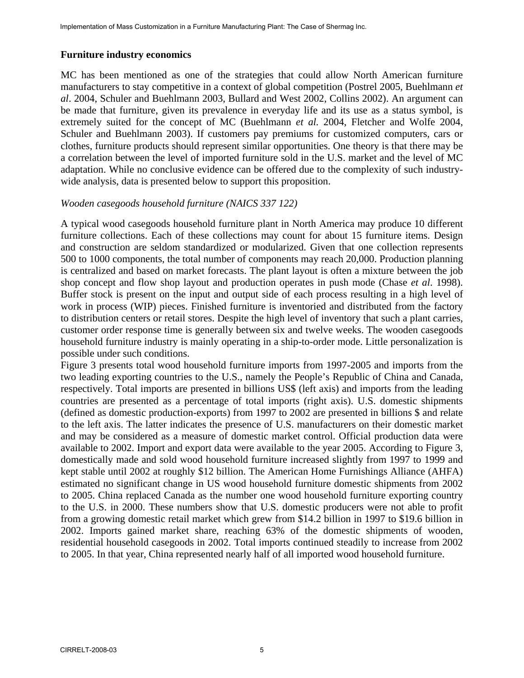#### **Furniture industry economics**

MC has been mentioned as one of the strategies that could allow North American furniture manufacturers to stay competitive in a context of global competition (Postrel 2005, Buehlmann *et al*. 2004, Schuler and Buehlmann 2003, Bullard and West 2002, Collins 2002). An argument can be made that furniture, given its prevalence in everyday life and its use as a status symbol, is extremely suited for the concept of MC (Buehlmann *et al.* 2004, Fletcher and Wolfe 2004, Schuler and Buehlmann 2003). If customers pay premiums for customized computers, cars or clothes, furniture products should represent similar opportunities. One theory is that there may be a correlation between the level of imported furniture sold in the U.S. market and the level of MC adaptation. While no conclusive evidence can be offered due to the complexity of such industrywide analysis, data is presented below to support this proposition.

#### *Wooden casegoods household furniture (NAICS 337 122)*

A typical wood casegoods household furniture plant in North America may produce 10 different furniture collections. Each of these collections may count for about 15 furniture items. Design and construction are seldom standardized or modularized. Given that one collection represents 500 to 1000 components, the total number of components may reach 20,000. Production planning is centralized and based on market forecasts. The plant layout is often a mixture between the job shop concept and flow shop layout and production operates in push mode (Chase *et al*. 1998). Buffer stock is present on the input and output side of each process resulting in a high level of work in process (WIP) pieces. Finished furniture is inventoried and distributed from the factory to distribution centers or retail stores. Despite the high level of inventory that such a plant carries, customer order response time is generally between six and twelve weeks. The wooden casegoods household furniture industry is mainly operating in a ship-to-order mode. Little personalization is possible under such conditions.

Figure 3 presents total wood household furniture imports from 1997-2005 and imports from the two leading exporting countries to the U.S., namely the People's Republic of China and Canada, respectively. Total imports are presented in billions US\$ (left axis) and imports from the leading countries are presented as a percentage of total imports (right axis). U.S. domestic shipments (defined as domestic production-exports) from 1997 to 2002 are presented in billions \$ and relate to the left axis. The latter indicates the presence of U.S. manufacturers on their domestic market and may be considered as a measure of domestic market control. Official production data were available to 2002. Import and export data were available to the year 2005. According to Figure 3, domestically made and sold wood household furniture increased slightly from 1997 to 1999 and kept stable until 2002 at roughly \$12 billion. The American Home Furnishings Alliance (AHFA) estimated no significant change in US wood household furniture domestic shipments from 2002 to 2005. China replaced Canada as the number one wood household furniture exporting country to the U.S. in 2000. These numbers show that U.S. domestic producers were not able to profit from a growing domestic retail market which grew from \$14.2 billion in 1997 to \$19.6 billion in 2002. Imports gained market share, reaching 63% of the domestic shipments of wooden, residential household casegoods in 2002. Total imports continued steadily to increase from 2002 to 2005. In that year, China represented nearly half of all imported wood household furniture.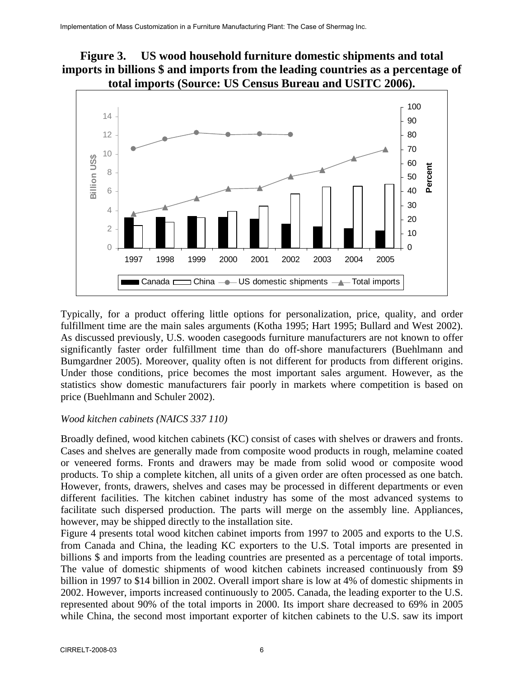# **Figure 3. US wood household furniture domestic shipments and total imports in billions \$ and imports from the leading countries as a percentage of total imports (Source: US Census Bureau and USITC 2006).**



Typically, for a product offering little options for personalization, price, quality, and order fulfillment time are the main sales arguments (Kotha 1995; Hart 1995; Bullard and West 2002). As discussed previously, U.S. wooden casegoods furniture manufacturers are not known to offer significantly faster order fulfillment time than do off-shore manufacturers (Buehlmann and Bumgardner 2005). Moreover, quality often is not different for products from different origins. Under those conditions, price becomes the most important sales argument. However, as the statistics show domestic manufacturers fair poorly in markets where competition is based on price (Buehlmann and Schuler 2002).

#### *Wood kitchen cabinets (NAICS 337 110)*

Broadly defined, wood kitchen cabinets (KC) consist of cases with shelves or drawers and fronts. Cases and shelves are generally made from composite wood products in rough, melamine coated or veneered forms. Fronts and drawers may be made from solid wood or composite wood products. To ship a complete kitchen, all units of a given order are often processed as one batch. However, fronts, drawers, shelves and cases may be processed in different departments or even different facilities. The kitchen cabinet industry has some of the most advanced systems to facilitate such dispersed production. The parts will merge on the assembly line. Appliances, however, may be shipped directly to the installation site.

Figure 4 presents total wood kitchen cabinet imports from 1997 to 2005 and exports to the U.S. from Canada and China, the leading KC exporters to the U.S. Total imports are presented in billions \$ and imports from the leading countries are presented as a percentage of total imports. The value of domestic shipments of wood kitchen cabinets increased continuously from \$9 billion in 1997 to \$14 billion in 2002. Overall import share is low at 4% of domestic shipments in 2002. However, imports increased continuously to 2005. Canada, the leading exporter to the U.S. represented about 90% of the total imports in 2000. Its import share decreased to 69% in 2005 while China, the second most important exporter of kitchen cabinets to the U.S. saw its import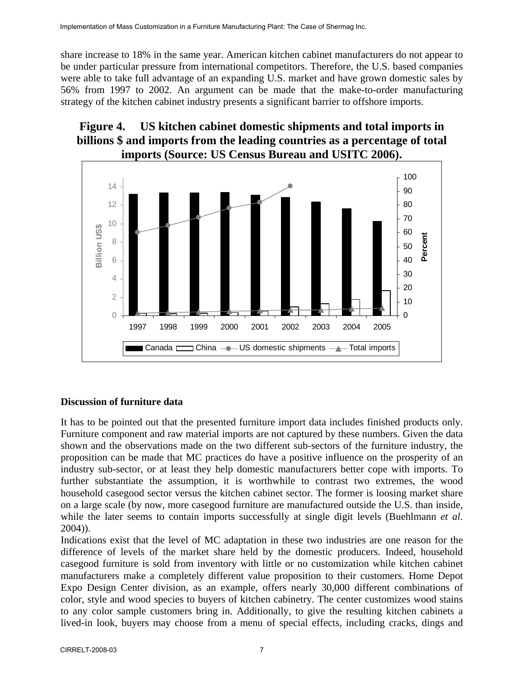share increase to 18% in the same year. American kitchen cabinet manufacturers do not appear to be under particular pressure from international competitors. Therefore, the U.S. based companies were able to take full advantage of an expanding U.S. market and have grown domestic sales by 56% from 1997 to 2002. An argument can be made that the make-to-order manufacturing strategy of the kitchen cabinet industry presents a significant barrier to offshore imports.

# **Figure 4. US kitchen cabinet domestic shipments and total imports in billions \$ and imports from the leading countries as a percentage of total imports (Source: US Census Bureau and USITC 2006).**



### **Discussion of furniture data**

It has to be pointed out that the presented furniture import data includes finished products only. Furniture component and raw material imports are not captured by these numbers. Given the data shown and the observations made on the two different sub-sectors of the furniture industry, the proposition can be made that MC practices do have a positive influence on the prosperity of an industry sub-sector, or at least they help domestic manufacturers better cope with imports. To further substantiate the assumption, it is worthwhile to contrast two extremes, the wood household casegood sector versus the kitchen cabinet sector. The former is loosing market share on a large scale (by now, more casegood furniture are manufactured outside the U.S. than inside, while the later seems to contain imports successfully at single digit levels (Buehlmann *et al*. 2004)).

Indications exist that the level of MC adaptation in these two industries are one reason for the difference of levels of the market share held by the domestic producers. Indeed, household casegood furniture is sold from inventory with little or no customization while kitchen cabinet manufacturers make a completely different value proposition to their customers. Home Depot Expo Design Center division, as an example, offers nearly 30,000 different combinations of color, style and wood species to buyers of kitchen cabinetry. The center customizes wood stains to any color sample customers bring in. Additionally, to give the resulting kitchen cabinets a lived-in look, buyers may choose from a menu of special effects, including cracks, dings and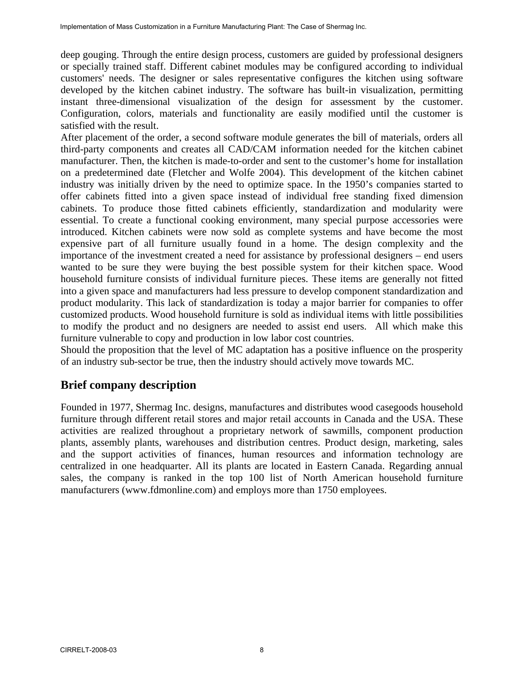deep gouging. Through the entire design process, customers are guided by professional designers or specially trained staff. Different cabinet modules may be configured according to individual customers' needs. The designer or sales representative configures the kitchen using software developed by the kitchen cabinet industry. The software has built-in visualization, permitting instant three-dimensional visualization of the design for assessment by the customer. Configuration, colors, materials and functionality are easily modified until the customer is satisfied with the result.

After placement of the order, a second software module generates the bill of materials, orders all third-party components and creates all CAD/CAM information needed for the kitchen cabinet manufacturer. Then, the kitchen is made-to-order and sent to the customer's home for installation on a predetermined date (Fletcher and Wolfe 2004). This development of the kitchen cabinet industry was initially driven by the need to optimize space. In the 1950's companies started to offer cabinets fitted into a given space instead of individual free standing fixed dimension cabinets. To produce those fitted cabinets efficiently, standardization and modularity were essential. To create a functional cooking environment, many special purpose accessories were introduced. Kitchen cabinets were now sold as complete systems and have become the most expensive part of all furniture usually found in a home. The design complexity and the importance of the investment created a need for assistance by professional designers – end users wanted to be sure they were buying the best possible system for their kitchen space. Wood household furniture consists of individual furniture pieces. These items are generally not fitted into a given space and manufacturers had less pressure to develop component standardization and product modularity. This lack of standardization is today a major barrier for companies to offer customized products. Wood household furniture is sold as individual items with little possibilities to modify the product and no designers are needed to assist end users. All which make this furniture vulnerable to copy and production in low labor cost countries.

Should the proposition that the level of MC adaptation has a positive influence on the prosperity of an industry sub-sector be true, then the industry should actively move towards MC.

# **Brief company description**

Founded in 1977, Shermag Inc. designs, manufactures and distributes wood casegoods household furniture through different retail stores and major retail accounts in Canada and the USA. These activities are realized throughout a proprietary network of sawmills, component production plants, assembly plants, warehouses and distribution centres. Product design, marketing, sales and the support activities of finances, human resources and information technology are centralized in one headquarter. All its plants are located in Eastern Canada. Regarding annual sales, the company is ranked in the top 100 list of North American household furniture manufacturers (www.fdmonline.com) and employs more than 1750 employees.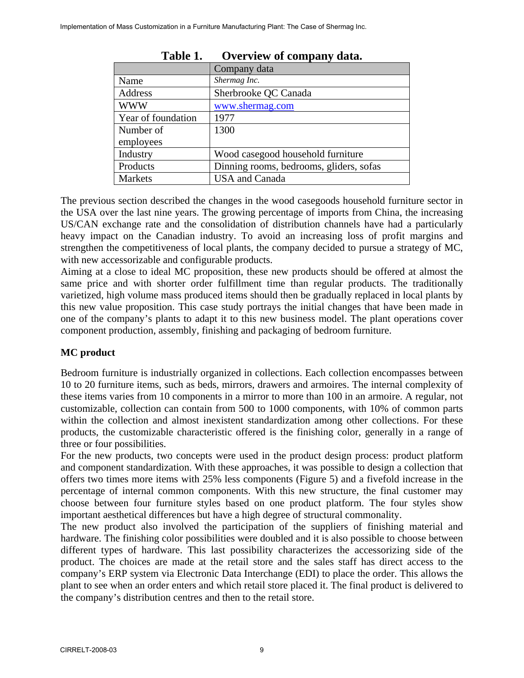| rabie 1.           | Overview of company data.               |
|--------------------|-----------------------------------------|
|                    | Company data                            |
| Name               | Shermag Inc.                            |
| Address            | Sherbrooke QC Canada                    |
| <b>WWW</b>         | www.shermag.com                         |
| Year of foundation | 1977                                    |
| Number of          | 1300                                    |
| employees          |                                         |
| Industry           | Wood casegood household furniture       |
| Products           | Dinning rooms, bedrooms, gliders, sofas |
| Markets            | <b>USA</b> and Canada                   |

**Table 1. Overview of company data.** 

The previous section described the changes in the wood casegoods household furniture sector in the USA over the last nine years. The growing percentage of imports from China, the increasing US/CAN exchange rate and the consolidation of distribution channels have had a particularly heavy impact on the Canadian industry. To avoid an increasing loss of profit margins and strengthen the competitiveness of local plants, the company decided to pursue a strategy of MC, with new accessorizable and configurable products.

Aiming at a close to ideal MC proposition, these new products should be offered at almost the same price and with shorter order fulfillment time than regular products. The traditionally varietized, high volume mass produced items should then be gradually replaced in local plants by this new value proposition. This case study portrays the initial changes that have been made in one of the company's plants to adapt it to this new business model. The plant operations cover component production, assembly, finishing and packaging of bedroom furniture.

### **MC product**

Bedroom furniture is industrially organized in collections. Each collection encompasses between 10 to 20 furniture items, such as beds, mirrors, drawers and armoires. The internal complexity of these items varies from 10 components in a mirror to more than 100 in an armoire. A regular, not customizable, collection can contain from 500 to 1000 components, with 10% of common parts within the collection and almost inexistent standardization among other collections. For these products, the customizable characteristic offered is the finishing color, generally in a range of three or four possibilities.

For the new products, two concepts were used in the product design process: product platform and component standardization. With these approaches, it was possible to design a collection that offers two times more items with 25% less components (Figure 5) and a fivefold increase in the percentage of internal common components. With this new structure, the final customer may choose between four furniture styles based on one product platform. The four styles show important aesthetical differences but have a high degree of structural commonality.

The new product also involved the participation of the suppliers of finishing material and hardware. The finishing color possibilities were doubled and it is also possible to choose between different types of hardware. This last possibility characterizes the accessorizing side of the product. The choices are made at the retail store and the sales staff has direct access to the company's ERP system via Electronic Data Interchange (EDI) to place the order. This allows the plant to see when an order enters and which retail store placed it. The final product is delivered to the company's distribution centres and then to the retail store.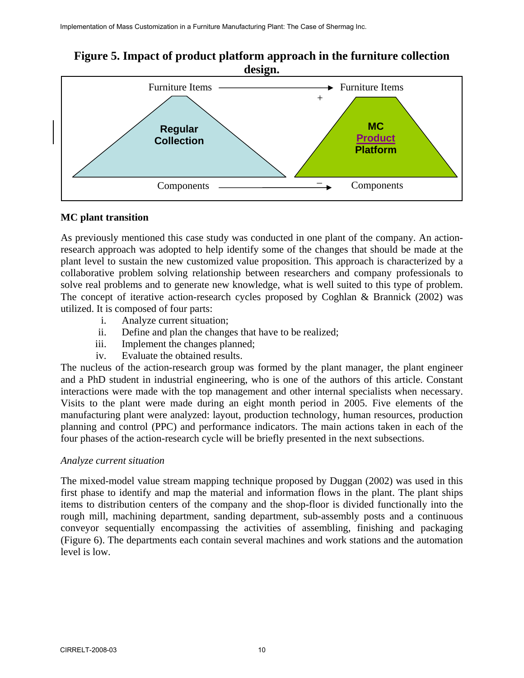

**Figure 5. Impact of product platform approach in the furniture collection design.**

### **MC plant transition**

As previously mentioned this case study was conducted in one plant of the company. An actionresearch approach was adopted to help identify some of the changes that should be made at the plant level to sustain the new customized value proposition. This approach is characterized by a collaborative problem solving relationship between researchers and company professionals to solve real problems and to generate new knowledge, what is well suited to this type of problem. The concept of iterative action-research cycles proposed by Coghlan & Brannick (2002) was utilized. It is composed of four parts:

- i. Analyze current situation;
- ii. Define and plan the changes that have to be realized;
- iii. Implement the changes planned;
- iv. Evaluate the obtained results.

The nucleus of the action-research group was formed by the plant manager, the plant engineer and a PhD student in industrial engineering, who is one of the authors of this article. Constant interactions were made with the top management and other internal specialists when necessary. Visits to the plant were made during an eight month period in 2005. Five elements of the manufacturing plant were analyzed: layout, production technology, human resources, production planning and control (PPC) and performance indicators. The main actions taken in each of the four phases of the action-research cycle will be briefly presented in the next subsections.

#### *Analyze current situation*

The mixed-model value stream mapping technique proposed by Duggan (2002) was used in this first phase to identify and map the material and information flows in the plant. The plant ships items to distribution centers of the company and the shop-floor is divided functionally into the rough mill, machining department, sanding department, sub-assembly posts and a continuous conveyor sequentially encompassing the activities of assembling, finishing and packaging (Figure 6). The departments each contain several machines and work stations and the automation level is low.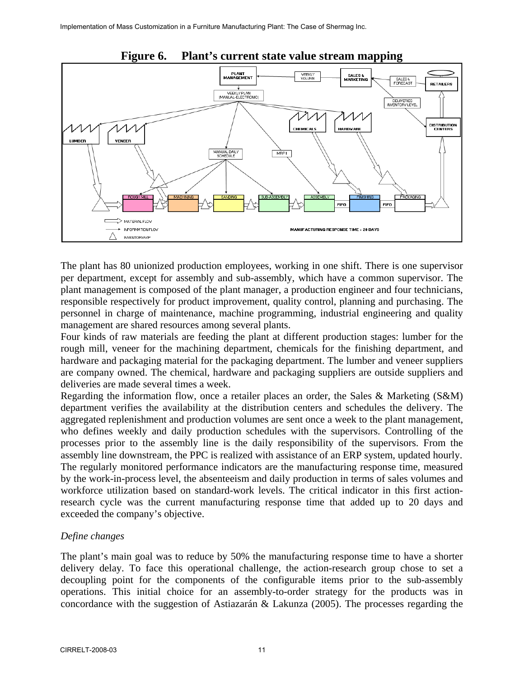

The plant has 80 unionized production employees, working in one shift. There is one supervisor per department, except for assembly and sub-assembly, which have a common supervisor. The plant management is composed of the plant manager, a production engineer and four technicians, responsible respectively for product improvement, quality control, planning and purchasing. The personnel in charge of maintenance, machine programming, industrial engineering and quality management are shared resources among several plants.

Four kinds of raw materials are feeding the plant at different production stages: lumber for the rough mill, veneer for the machining department, chemicals for the finishing department, and hardware and packaging material for the packaging department. The lumber and veneer suppliers are company owned. The chemical, hardware and packaging suppliers are outside suppliers and deliveries are made several times a week.

Regarding the information flow, once a retailer places an order, the Sales & Marketing (S&M) department verifies the availability at the distribution centers and schedules the delivery. The aggregated replenishment and production volumes are sent once a week to the plant management, who defines weekly and daily production schedules with the supervisors. Controlling of the processes prior to the assembly line is the daily responsibility of the supervisors. From the assembly line downstream, the PPC is realized with assistance of an ERP system, updated hourly. The regularly monitored performance indicators are the manufacturing response time, measured by the work-in-process level, the absenteeism and daily production in terms of sales volumes and workforce utilization based on standard-work levels. The critical indicator in this first actionresearch cycle was the current manufacturing response time that added up to 20 days and exceeded the company's objective.

#### *Define changes*

The plant's main goal was to reduce by 50% the manufacturing response time to have a shorter delivery delay. To face this operational challenge, the action-research group chose to set a decoupling point for the components of the configurable items prior to the sub-assembly operations. This initial choice for an assembly-to-order strategy for the products was in concordance with the suggestion of Astiazarán & Lakunza (2005). The processes regarding the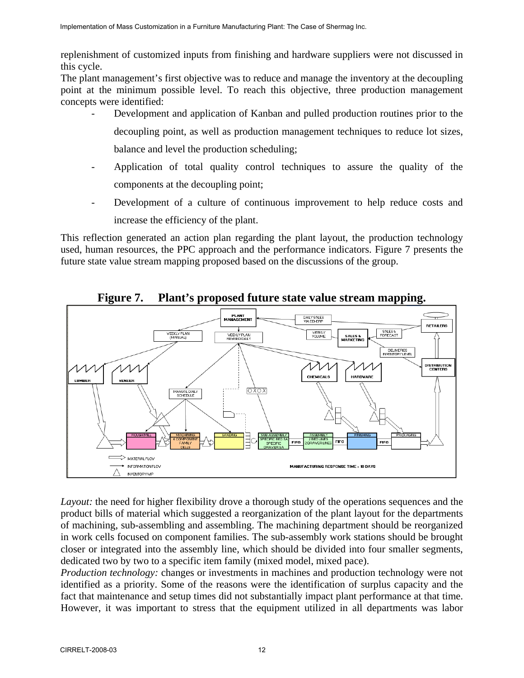replenishment of customized inputs from finishing and hardware suppliers were not discussed in this cycle.

The plant management's first objective was to reduce and manage the inventory at the decoupling point at the minimum possible level. To reach this objective, three production management concepts were identified:

- Development and application of Kanban and pulled production routines prior to the decoupling point, as well as production management techniques to reduce lot sizes, balance and level the production scheduling;
- Application of total quality control techniques to assure the quality of the components at the decoupling point;
- Development of a culture of continuous improvement to help reduce costs and increase the efficiency of the plant.

This reflection generated an action plan regarding the plant layout, the production technology used, human resources, the PPC approach and the performance indicators. Figure 7 presents the future state value stream mapping proposed based on the discussions of the group.



**Figure 7. Plant's proposed future state value stream mapping.** 

*Layout:* the need for higher flexibility drove a thorough study of the operations sequences and the product bills of material which suggested a reorganization of the plant layout for the departments of machining, sub-assembling and assembling. The machining department should be reorganized in work cells focused on component families. The sub-assembly work stations should be brought closer or integrated into the assembly line, which should be divided into four smaller segments, dedicated two by two to a specific item family (mixed model, mixed pace).

*Production technology:* changes or investments in machines and production technology were not identified as a priority. Some of the reasons were the identification of surplus capacity and the fact that maintenance and setup times did not substantially impact plant performance at that time. However, it was important to stress that the equipment utilized in all departments was labor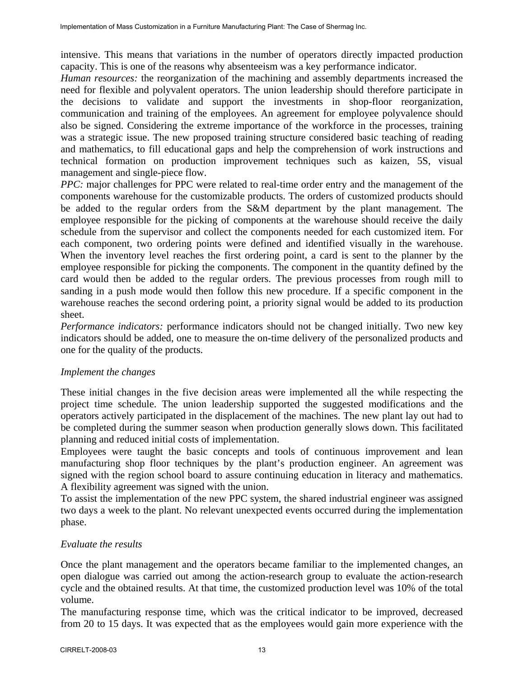intensive. This means that variations in the number of operators directly impacted production capacity. This is one of the reasons why absenteeism was a key performance indicator.

*Human resources:* the reorganization of the machining and assembly departments increased the need for flexible and polyvalent operators. The union leadership should therefore participate in the decisions to validate and support the investments in shop-floor reorganization, communication and training of the employees. An agreement for employee polyvalence should also be signed. Considering the extreme importance of the workforce in the processes, training was a strategic issue. The new proposed training structure considered basic teaching of reading and mathematics, to fill educational gaps and help the comprehension of work instructions and technical formation on production improvement techniques such as kaizen, 5S, visual management and single-piece flow.

*PPC:* major challenges for PPC were related to real-time order entry and the management of the components warehouse for the customizable products. The orders of customized products should be added to the regular orders from the S&M department by the plant management. The employee responsible for the picking of components at the warehouse should receive the daily schedule from the supervisor and collect the components needed for each customized item. For each component, two ordering points were defined and identified visually in the warehouse. When the inventory level reaches the first ordering point, a card is sent to the planner by the employee responsible for picking the components. The component in the quantity defined by the card would then be added to the regular orders. The previous processes from rough mill to sanding in a push mode would then follow this new procedure. If a specific component in the warehouse reaches the second ordering point, a priority signal would be added to its production sheet.

*Performance indicators:* performance indicators should not be changed initially. Two new key indicators should be added, one to measure the on-time delivery of the personalized products and one for the quality of the products.

#### *Implement the changes*

These initial changes in the five decision areas were implemented all the while respecting the project time schedule. The union leadership supported the suggested modifications and the operators actively participated in the displacement of the machines. The new plant lay out had to be completed during the summer season when production generally slows down. This facilitated planning and reduced initial costs of implementation.

Employees were taught the basic concepts and tools of continuous improvement and lean manufacturing shop floor techniques by the plant's production engineer. An agreement was signed with the region school board to assure continuing education in literacy and mathematics. A flexibility agreement was signed with the union.

To assist the implementation of the new PPC system, the shared industrial engineer was assigned two days a week to the plant. No relevant unexpected events occurred during the implementation phase.

### *Evaluate the results*

Once the plant management and the operators became familiar to the implemented changes, an open dialogue was carried out among the action-research group to evaluate the action-research cycle and the obtained results. At that time, the customized production level was 10% of the total volume.

The manufacturing response time, which was the critical indicator to be improved, decreased from 20 to 15 days. It was expected that as the employees would gain more experience with the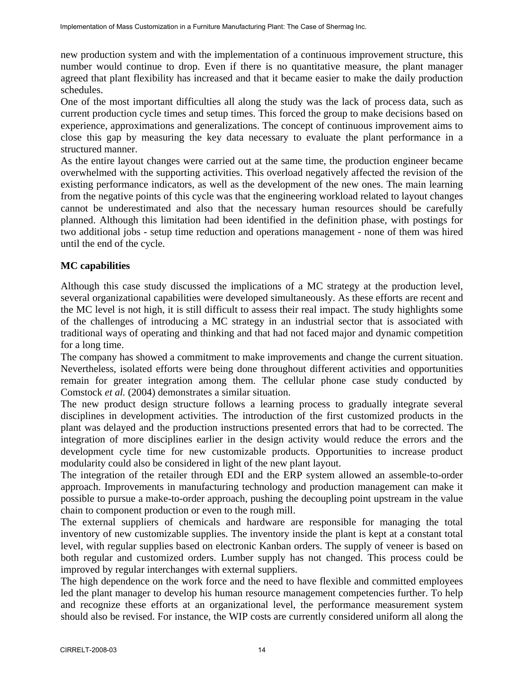new production system and with the implementation of a continuous improvement structure, this number would continue to drop. Even if there is no quantitative measure, the plant manager agreed that plant flexibility has increased and that it became easier to make the daily production schedules.

One of the most important difficulties all along the study was the lack of process data, such as current production cycle times and setup times. This forced the group to make decisions based on experience, approximations and generalizations. The concept of continuous improvement aims to close this gap by measuring the key data necessary to evaluate the plant performance in a structured manner.

As the entire layout changes were carried out at the same time, the production engineer became overwhelmed with the supporting activities. This overload negatively affected the revision of the existing performance indicators, as well as the development of the new ones. The main learning from the negative points of this cycle was that the engineering workload related to layout changes cannot be underestimated and also that the necessary human resources should be carefully planned. Although this limitation had been identified in the definition phase, with postings for two additional jobs - setup time reduction and operations management - none of them was hired until the end of the cycle.

### **MC capabilities**

Although this case study discussed the implications of a MC strategy at the production level, several organizational capabilities were developed simultaneously. As these efforts are recent and the MC level is not high, it is still difficult to assess their real impact. The study highlights some of the challenges of introducing a MC strategy in an industrial sector that is associated with traditional ways of operating and thinking and that had not faced major and dynamic competition for a long time.

The company has showed a commitment to make improvements and change the current situation. Nevertheless, isolated efforts were being done throughout different activities and opportunities remain for greater integration among them. The cellular phone case study conducted by Comstock *et al.* (2004) demonstrates a similar situation.

The new product design structure follows a learning process to gradually integrate several disciplines in development activities. The introduction of the first customized products in the plant was delayed and the production instructions presented errors that had to be corrected. The integration of more disciplines earlier in the design activity would reduce the errors and the development cycle time for new customizable products. Opportunities to increase product modularity could also be considered in light of the new plant layout.

The integration of the retailer through EDI and the ERP system allowed an assemble-to-order approach. Improvements in manufacturing technology and production management can make it possible to pursue a make-to-order approach, pushing the decoupling point upstream in the value chain to component production or even to the rough mill.

The external suppliers of chemicals and hardware are responsible for managing the total inventory of new customizable supplies. The inventory inside the plant is kept at a constant total level, with regular supplies based on electronic Kanban orders. The supply of veneer is based on both regular and customized orders. Lumber supply has not changed. This process could be improved by regular interchanges with external suppliers.

The high dependence on the work force and the need to have flexible and committed employees led the plant manager to develop his human resource management competencies further. To help and recognize these efforts at an organizational level, the performance measurement system should also be revised. For instance, the WIP costs are currently considered uniform all along the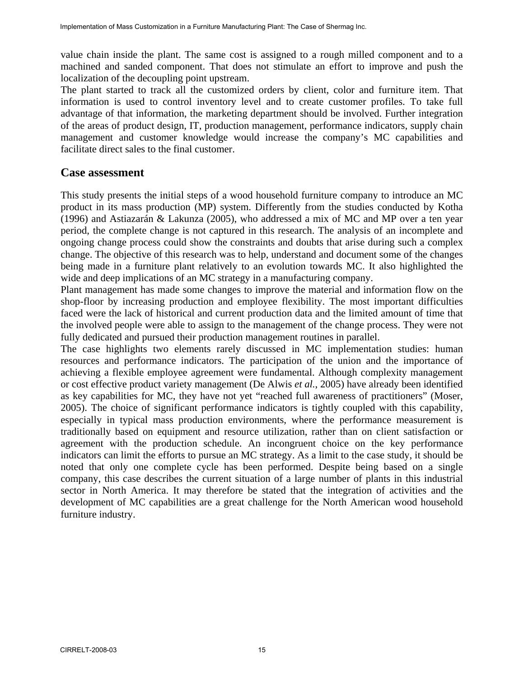value chain inside the plant. The same cost is assigned to a rough milled component and to a machined and sanded component. That does not stimulate an effort to improve and push the localization of the decoupling point upstream.

The plant started to track all the customized orders by client, color and furniture item. That information is used to control inventory level and to create customer profiles. To take full advantage of that information, the marketing department should be involved. Further integration of the areas of product design, IT, production management, performance indicators, supply chain management and customer knowledge would increase the company's MC capabilities and facilitate direct sales to the final customer.

### **Case assessment**

This study presents the initial steps of a wood household furniture company to introduce an MC product in its mass production (MP) system. Differently from the studies conducted by Kotha (1996) and Astiazarán & Lakunza (2005), who addressed a mix of MC and MP over a ten year period, the complete change is not captured in this research. The analysis of an incomplete and ongoing change process could show the constraints and doubts that arise during such a complex change. The objective of this research was to help, understand and document some of the changes being made in a furniture plant relatively to an evolution towards MC. It also highlighted the wide and deep implications of an MC strategy in a manufacturing company.

Plant management has made some changes to improve the material and information flow on the shop-floor by increasing production and employee flexibility. The most important difficulties faced were the lack of historical and current production data and the limited amount of time that the involved people were able to assign to the management of the change process. They were not fully dedicated and pursued their production management routines in parallel.

The case highlights two elements rarely discussed in MC implementation studies: human resources and performance indicators. The participation of the union and the importance of achieving a flexible employee agreement were fundamental. Although complexity management or cost effective product variety management (De Alwis *et al.*, 2005) have already been identified as key capabilities for MC, they have not yet "reached full awareness of practitioners" (Moser, 2005). The choice of significant performance indicators is tightly coupled with this capability, especially in typical mass production environments, where the performance measurement is traditionally based on equipment and resource utilization, rather than on client satisfaction or agreement with the production schedule. An incongruent choice on the key performance indicators can limit the efforts to pursue an MC strategy. As a limit to the case study, it should be noted that only one complete cycle has been performed. Despite being based on a single company, this case describes the current situation of a large number of plants in this industrial sector in North America. It may therefore be stated that the integration of activities and the development of MC capabilities are a great challenge for the North American wood household furniture industry.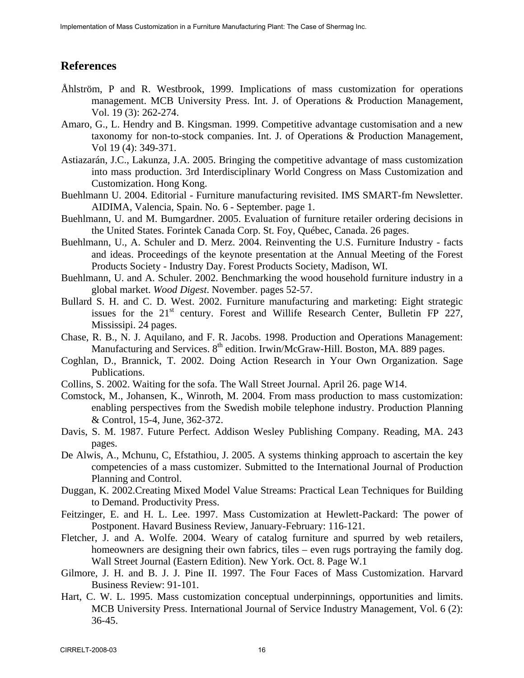### **References**

- Åhlström, P and R. Westbrook, 1999. Implications of mass customization for operations management. MCB University Press. Int. J. of Operations & Production Management, Vol. 19 (3): 262-274.
- Amaro, G., L. Hendry and B. Kingsman. 1999. Competitive advantage customisation and a new taxonomy for non-to-stock companies. Int. J. of Operations & Production Management, Vol 19 (4): 349-371.
- Astiazarán, J.C., Lakunza, J.A. 2005. Bringing the competitive advantage of mass customization into mass production. 3rd Interdisciplinary World Congress on Mass Customization and Customization. Hong Kong.
- Buehlmann U. 2004. Editorial Furniture manufacturing revisited. IMS SMART-fm Newsletter. AIDIMA, Valencia, Spain. No. 6 - September. page 1.
- Buehlmann, U. and M. Bumgardner. 2005. Evaluation of furniture retailer ordering decisions in the United States. Forintek Canada Corp. St. Foy, Québec, Canada. 26 pages.
- Buehlmann, U., A. Schuler and D. Merz. 2004. Reinventing the U.S. Furniture Industry facts and ideas. Proceedings of the keynote presentation at the Annual Meeting of the Forest Products Society - Industry Day. Forest Products Society, Madison, WI.
- Buehlmann, U. and A. Schuler. 2002. Benchmarking the wood household furniture industry in a global market. *Wood Digest*. November. pages 52-57.
- Bullard S. H. and C. D. West. 2002. Furniture manufacturing and marketing: Eight strategic issues for the  $21<sup>st</sup>$  century. Forest and Willife Research Center, Bulletin FP 227, Mississipi. 24 pages.
- Chase, R. B., N. J. Aquilano, and F. R. Jacobs. 1998. Production and Operations Management: Manufacturing and Services. 8<sup>th</sup> edition. Irwin/McGraw-Hill. Boston, MA. 889 pages.
- Coghlan, D., Brannick, T. 2002. Doing Action Research in Your Own Organization. Sage Publications.
- Collins, S. 2002. Waiting for the sofa. The Wall Street Journal. April 26. page W14.
- Comstock, M., Johansen, K., Winroth, M. 2004. From mass production to mass customization: enabling perspectives from the Swedish mobile telephone industry. Production Planning & Control, 15-4, June, 362-372.
- Davis, S. M. 1987. Future Perfect. Addison Wesley Publishing Company. Reading, MA. 243 pages.
- De Alwis, A., Mchunu, C, Efstathiou, J. 2005. A systems thinking approach to ascertain the key competencies of a mass customizer. Submitted to the International Journal of Production Planning and Control.
- Duggan, K. 2002.Creating Mixed Model Value Streams: Practical Lean Techniques for Building to Demand. Productivity Press.
- Feitzinger, E. and H. L. Lee. 1997. Mass Customization at Hewlett-Packard: The power of Postponent. Havard Business Review, January-February: 116-121.
- Fletcher, J. and A. Wolfe. 2004. Weary of catalog furniture and spurred by web retailers, homeowners are designing their own fabrics, tiles – even rugs portraying the family dog. Wall Street Journal (Eastern Edition). New York. Oct. 8. Page W.1
- Gilmore, J. H. and B. J. J. Pine II. 1997. The Four Faces of Mass Customization. Harvard Business Review: 91-101.
- Hart, C. W. L. 1995. Mass customization conceptual underpinnings, opportunities and limits. MCB University Press. International Journal of Service Industry Management, Vol. 6 (2): 36-45.